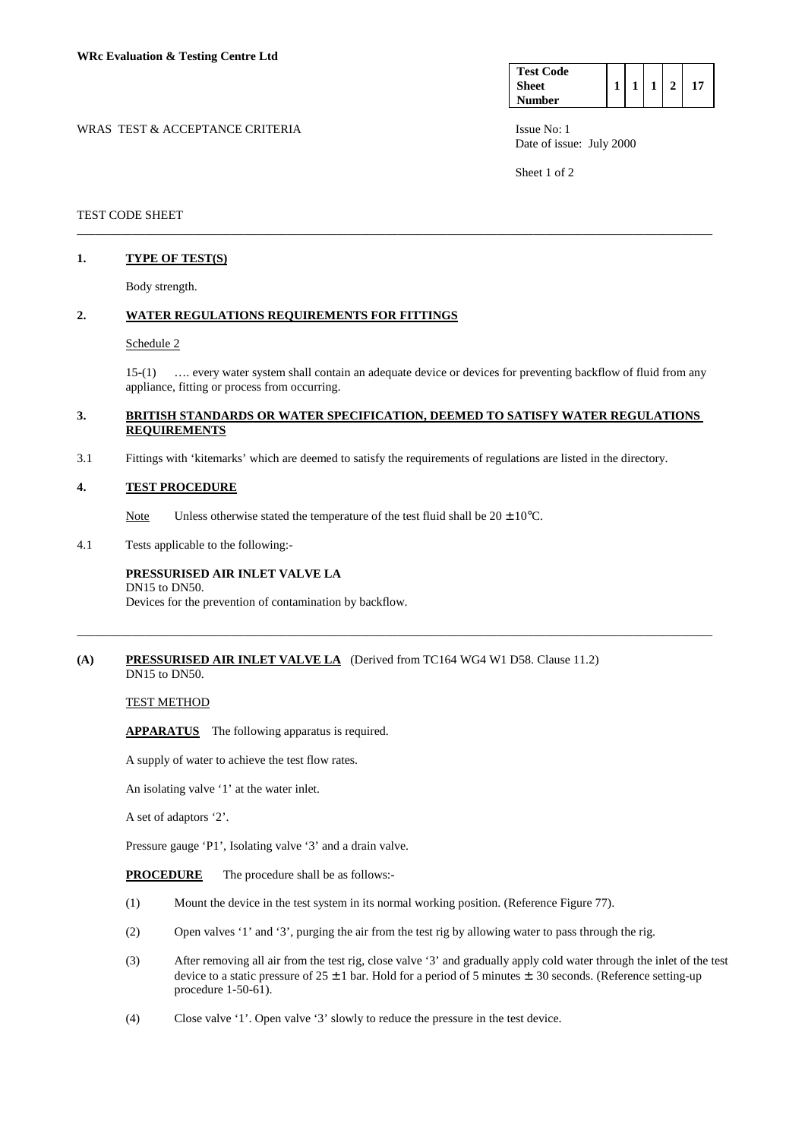| <b>Test Code</b> |  |  |  |
|------------------|--|--|--|
| <b>Sheet</b>     |  |  |  |
| <b>Number</b>    |  |  |  |

WRAS TEST & ACCEPTANCE CRITERIA ISSUE No: 1 Date of issue: July 2000

Sheet 1 of 2

## TEST CODE SHEET

## **1. TYPE OF TEST(S)**

Body strength.

## **2. WATER REGULATIONS REQUIREMENTS FOR FITTINGS**

#### Schedule 2

 15-(1) …. every water system shall contain an adequate device or devices for preventing backflow of fluid from any appliance, fitting or process from occurring.

## **3. BRITISH STANDARDS OR WATER SPECIFICATION, DEEMED TO SATISFY WATER REGULATIONS REQUIREMENTS**

\_\_\_\_\_\_\_\_\_\_\_\_\_\_\_\_\_\_\_\_\_\_\_\_\_\_\_\_\_\_\_\_\_\_\_\_\_\_\_\_\_\_\_\_\_\_\_\_\_\_\_\_\_\_\_\_\_\_\_\_\_\_\_\_\_\_\_\_\_\_\_\_\_\_\_\_\_\_\_\_\_\_\_\_\_\_\_\_\_\_\_\_\_\_\_\_\_\_\_\_\_\_\_

\_\_\_\_\_\_\_\_\_\_\_\_\_\_\_\_\_\_\_\_\_\_\_\_\_\_\_\_\_\_\_\_\_\_\_\_\_\_\_\_\_\_\_\_\_\_\_\_\_\_\_\_\_\_\_\_\_\_\_\_\_\_\_\_\_\_\_\_\_\_\_\_\_\_\_\_\_\_\_\_\_\_\_\_\_\_\_\_\_\_\_\_\_\_\_\_\_\_\_\_\_\_\_

3.1 Fittings with 'kitemarks' which are deemed to satisfy the requirements of regulations are listed in the directory.

### **4. TEST PROCEDURE**

Note Unless otherwise stated the temperature of the test fluid shall be  $20 \pm 10^{\circ}$ C.

4.1 Tests applicable to the following:-

#### **PRESSURISED AIR INLET VALVE LA**  DN15 to DN50.

Devices for the prevention of contamination by backflow.

### **(A) PRESSURISED AIR INLET VALVE LA** (Derived from TC164 WG4 W1 D58. Clause 11.2) DN15 to DN50.

TEST METHOD

**APPARATUS** The following apparatus is required.

A supply of water to achieve the test flow rates.

An isolating valve '1' at the water inlet.

A set of adaptors '2'.

Pressure gauge 'P1', Isolating valve '3' and a drain valve.

**PROCEDURE** The procedure shall be as follows:-

- (1) Mount the device in the test system in its normal working position. (Reference Figure 77).
- (2) Open valves '1' and '3', purging the air from the test rig by allowing water to pass through the rig.
- (3) After removing all air from the test rig, close valve '3' and gradually apply cold water through the inlet of the test device to a static pressure of  $25 \pm 1$  bar. Hold for a period of 5 minutes  $\pm$ . 30 seconds. (Reference setting-up procedure 1-50-61).
- (4) Close valve '1'. Open valve '3' slowly to reduce the pressure in the test device.